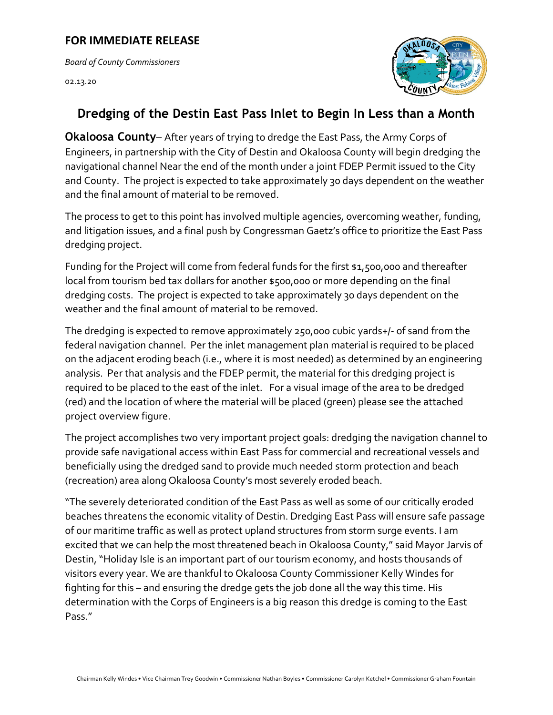## **FOR IMMEDIATE RELEASE**

*Board of County Commissioners* 

[02.13.20](https://02.13.20) 



## **Dredging of the Destin East Pass Inlet to Begin In Less than a Month**

**Okaloosa County**– After years of trying to dredge the East Pass, the Army Corps of Engineers, in partnership with the City of Destin and Okaloosa County will begin dredging the navigational channel Near the end of the month under a joint FDEP Permit issued to the City and County. The project is expected to take approximately 30 days dependent on the weather and the final amount of material to be removed.<br>The process to get to this point has involved multiple agencies, overcoming weather, funding,

and litigation issues, and a final push by Congressman Gaetz's office to prioritize the East Pass dredging project.

Funding for the Project will come from federal funds for the first \$1,500,000 and thereafter local from tourism bed tax dollars for another \$500,000 or more depending on the final dredging costs. The project is expected to take approximately 30 days dependent on the

weather and the final amount of material to be removed.<br>The dredging is expected to remove approximately 250,000 cubic yards+/- of sand from the federal navigation channel. Per the inlet management plan material is required to be placed on the adjacent eroding beach (i.e., where it is most needed) as determined by an engineering analysis. Per that analysis and the FDEP permit, the material for this dredging project is required to be placed to the east of the inlet. For a visual image of the area to be dredged (red) and the location of where the material will be placed (green) please see the attached project overview figure.

The project accomplishes two very important project goals: dredging the navigation channel to provide safe navigational access within East Pass for commercial and recreational vessels and beneficially using the dredged sand to provide much needed storm protection and beach (recreation) area along Okaloosa County's most severely eroded beach.

 Pass." Chairman Kelly Windes • Vice Chairman Trey Goodwin • Commissioner Nathan Boyles • Commissioner Carolyn Ketchel • Commissioner Graham Fountain Pass." "The severely deteriorated condition of the East Pass as well as some of our critically eroded beaches threatens the economic vitality of Destin. Dredging East Pass will ensure safe passage of our maritime traffic as well as protect upland structures from storm surge events. I am excited that we can help the most threatened beach in Okaloosa County," said Mayor Jarvis of Destin, "Holiday Isle is an important part of our tourism economy, and hosts thousands of visitors every year. We are thankful to Okaloosa County Commissioner Kelly Windes for fighting for this – and ensuring the dredge gets the job done all the way this time. His determination with the Corps of Engineers is a big reason this dredge is coming to the East